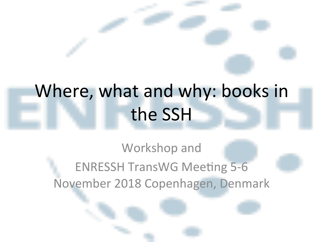# Where, what and why: books in the SSH

#### Workshop and **ENRESSH TransWG Meeting 5-6** November 2018 Copenhagen, Denmark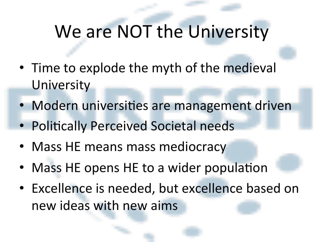#### We are NOT the University

- Time to explode the myth of the medieval **University**
- Modern universities are management driven
- Politically Perceived Societal needs
- Mass HE means mass mediocracy
- Mass HE opens HE to a wider population
- Excellence is needed, but excellence based on new ideas with new aims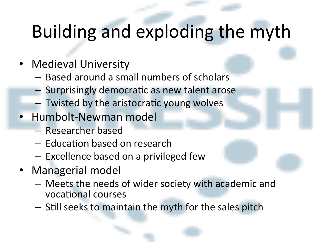## Building and exploding the myth

- Medieval University
	- $-$  Based around a small numbers of scholars
	- $-$  Surprisingly democratic as new talent arose
	- $-$  Twisted by the aristocratic young wolves
- Humbolt-Newman model
	- Researcher based
	- $-$  Education based on research
	- $-$  Excellence based on a privileged few
- Managerial model
	- $-$  Meets the needs of wider society with academic and vocational courses
	- $-$  Still seeks to maintain the myth for the sales pitch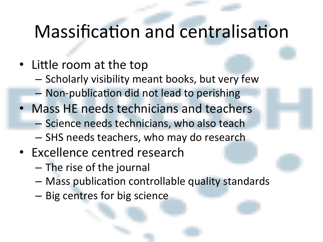#### Massification and centralisation

- Little room at the top
	- $-$  Scholarly visibility meant books, but very few
	- Non-publication did not lead to perishing
- Mass HE needs technicians and teachers
	- Science needs technicians, who also teach
	- $-$  SHS needs teachers, who may do research
- Excellence centred research
	- The rise of the journal
	- $-$  Mass publication controllable quality standards
	- Big centres for big science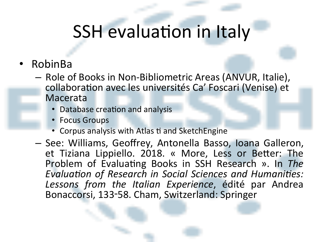### SSH evaluation in Italy

- RobinBa
	- $-$  Role of Books in Non-Bibliometric Areas (ANVUR, Italie), collaboration avec les universités Ca' Foscari (Venise) et Macerata
		- Database creation and analysis
		- Focus Groups
		- Corpus analysis with Atlas ti and SketchEngine
	- See: Williams, Geoffrey, Antonella Basso, Ioana Galleron, et Tiziana Lippiello. 2018. « More, Less or Better: The Problem of Evaluating Books in SSH Research ». In The *Evaluation of Research in Social Sciences and Humanities:* Lessons from the Italian Experience, édité par Andrea Bonaccorsi, 133-58. Cham, Switzerland: Springer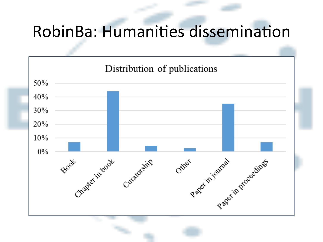#### RobinBa: Humanities dissemination

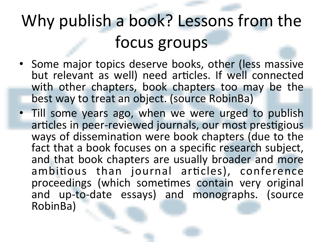## Why publish a book? Lessons from the focus groups

- Some major topics deserve books, other (less massive but relevant as well) need articles. If well connected with other chapters, book chapters too may be the best way to treat an object. (source RobinBa)
- Till some years ago, when we were urged to publish articles in peer-reviewed journals, our most prestigious ways of dissemination were book chapters (due to the fact that a book focuses on a specific research subject, and that book chapters are usually broader and more ambitious than journal articles), conference proceedings (which sometimes contain very original and up-to-date essays) and monographs. (source RobinBa)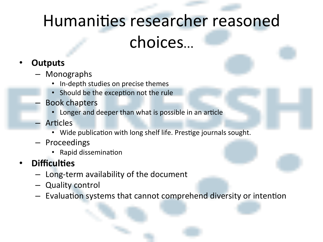### Humanities researcher reasoned choices…

#### • **Outputs**

- Monographs
	- In-depth studies on precise themes
	- Should be the exception not the rule
- Book chapters
	- Longer and deeper than what is possible in an article
- Articles
	- Wide publication with long shelf life. Prestige journals sought.
- Proceedings
	- Rapid dissemination
- **Difficulties** 
	- $-$  Long-term availability of the document
	- Quality control
	- Evaluation systems that cannot comprehend diversity or intention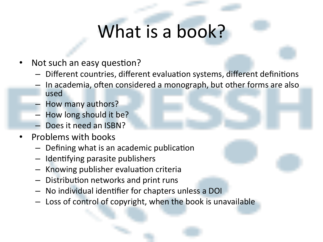## What is a book?

- Not such an easy question?
	- $-$  Different countries, different evaluation systems, different definitions
	- In academia, often considered a monograph, but other forms are also used
	- How many authors?
	- $-$  How long should it be?
	- Does it need an ISBN?
- **Problems with books** 
	- $-$  Defining what is an academic publication
	- $-$  Identifying parasite publishers
	- Knowing publisher evaluation criteria
	- $-$  Distribution networks and print runs
	- $-$  No individual identifier for chapters unless a DOI
	- $-$  Loss of control of copyright, when the book is unavailable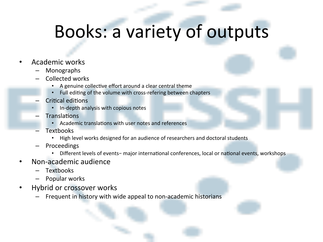#### Books: a variety of outputs

#### • Academic works

- Monographs
- Collected works
	- A genuine collective effort around a clear central theme
	- Full editing of the volume with cross-refering between chapters
- **Critical editions** 
	- In-depth analysis with copious notes
- Translations
	- Academic translations with user notes and references
- Textbooks
	- High level works designed for an audience of researchers and doctoral students
- Proceedings
	- Different levels of events- major international conferences, local or national events, workshops
- Non-academic audience
	- Textbooks
	- Popular works
- Hybrid or crossover works
	- Frequent in history with wide appeal to non-academic historians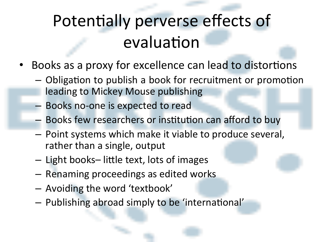## Potentially perverse effects of evaluation

- Books as a proxy for excellence can lead to distortions
	- $-$  Obligation to publish a book for recruitment or promotion leading to Mickey Mouse publishing
	- $-$  Books no-one is expected to read
	- Books few researchers or institution can afford to buy
	- $-$  Point systems which make it viable to produce several, rather than a single, output
	- $-$  Light books– little text, lots of images
	- $-$  Renaming proceedings as edited works
	- Avoiding the word 'textbook'
	- $-$  Publishing abroad simply to be 'international'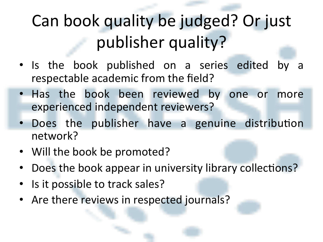## Can book quality be judged? Or just publisher quality?

- Is the book published on a series edited by respectable academic from the field?
- Has the book been reviewed by one or more experienced independent reviewers?
- Does the publisher have a genuine distribution network?
- Will the book be promoted?
- Does the book appear in university library collections?
- Is it possible to track sales?
- Are there reviews in respected journals?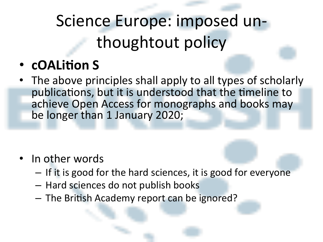## Science Europe: imposed unthoughtout policy

- **cOALition S**
- The above principles shall apply to all types of scholarly publications, but it is understood that the timeline to achieve Open Access for monographs and books may be longer than 1 January 2020;

- In other words
	- $-$  If it is good for the hard sciences, it is good for everyone
	- $-$  Hard sciences do not publish books
	- The British Academy report can be ignored?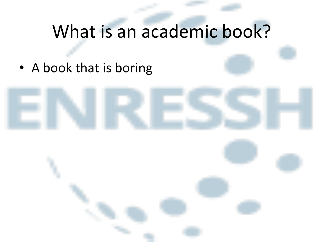## What is an academic book?

• A book that is boring

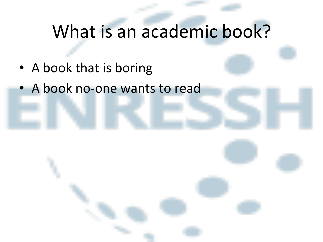## What is an academic book?

- A book that is boring
- A book no-one wants to read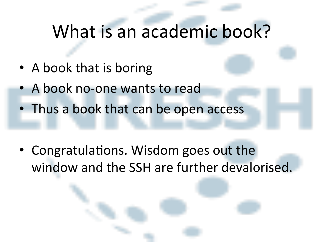#### What is an academic book?

- A book that is boring
- A book no-one wants to read
- Thus a book that can be open access

• Congratulations. Wisdom goes out the window and the SSH are further devalorised.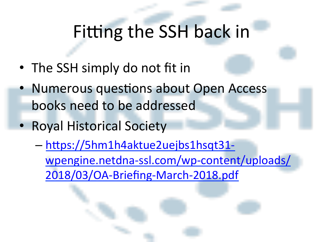## Fitting the SSH back in

- The SSH simply do not fit in
- Numerous questions about Open Access books need to be addressed
- Royal Historical Society
	- $-$  https://5hm1h4aktue2uejbs1hsqt31wpengine.netdna-ssl.com/wp-content/uploads/ 2018/03/OA-Briefing-March-2018.pdf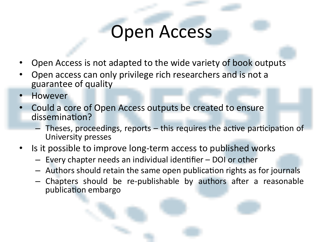#### **Open Access**

- Open Access is not adapted to the wide variety of book outputs
- Open access can only privilege rich researchers and is not a guarantee of quality
- However
- Could a core of Open Access outputs be created to ensure dissemination?
	- $-$  Theses, proceedings, reports  $-$  this requires the active participation of University presses
- Is it possible to improve long-term access to published works
	- $-$  Every chapter needs an individual identifier  $-$  DOI or other
	- $-$  Authors should retain the same open publication rights as for journals
	- $-$  Chapters should be re-publishable by authors after a reasonable publication embargo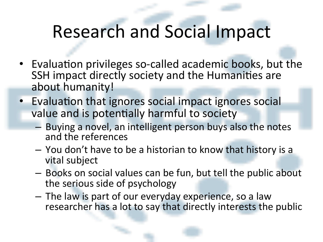## Research and Social Impact

- Evaluation privileges so-called academic books, but the SSH impact directly society and the Humanities are about humanity!
- Evaluation that ignores social impact ignores social value and is potentially harmful to society
	- $-$  Buying a novel, an intelligent person buys also the notes and the references
	- $-$  You don't have to be a historian to know that history is a vital subject
	- $-$  Books on social values can be fun, but tell the public about the serious side of psychology
	- The law is part of our everyday experience, so a law researcher has a lot to say that directly interests the public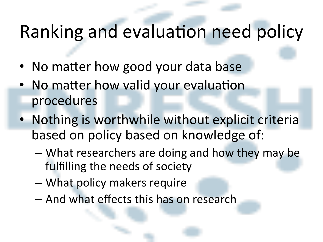## Ranking and evaluation need policy

- No matter how good your data base
- No matter how valid your evaluation procedures
- Nothing is worthwhile without explicit criteria based on policy based on knowledge of:
	- What researchers are doing and how they may be fulfilling the needs of society
	- What policy makers require
	- And what effects this has on research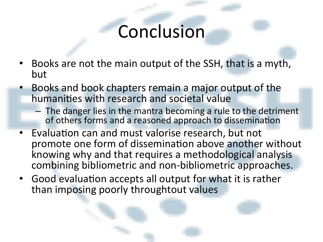#### Conclusion

- Books are not the main output of the SSH, that is a myth, but
- Books and book chapters remain a major output of the humanities with research and societal value
	- $-$  The danger lies in the mantra becoming a rule to the detriment of others forms and a reasoned approach to dissemination
- Evaluation can and must valorise research, but not promote one form of dissemination above another without knowing why and that requires a methodological analysis combining bibliometric and non-bibliometric approaches.
- Good evaluation accepts all output for what it is rather than imposing poorly throughtout values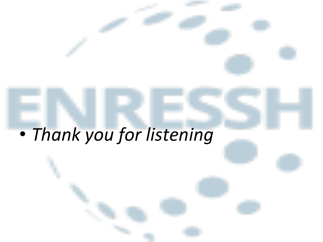# • *Thank you for listening*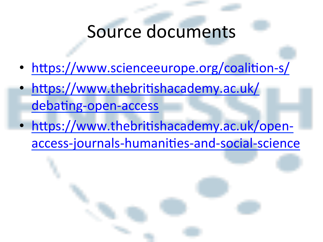#### Source documents

- https://www.scienceeurope.org/coalition-s/
- https://www.thebritishacademy.ac.uk/ debating-open-access
- https://www.thebritishacademy.ac.uk/openaccess-journals-humanities-and-social-science